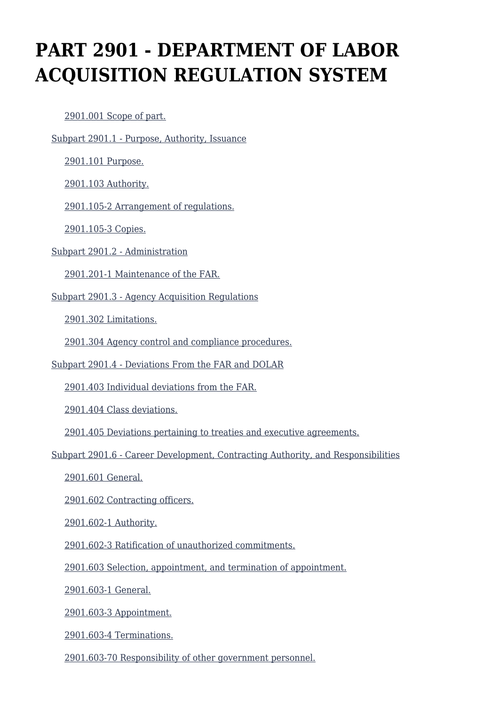# **PART 2901 - DEPARTMENT OF LABOR ACQUISITION REGULATION SYSTEM**

[2901.001 Scope of part.](https://www.acquisition.gov/%5Brp:link:dolar-part-2901%5D#Section_2901_001_T48_70112111)

[Subpart 2901.1 - Purpose, Authority, Issuance](https://www.acquisition.gov/%5Brp:link:dolar-part-2901%5D#Subpart_2901_1_T48_701122)

[2901.101 Purpose.](https://www.acquisition.gov/%5Brp:link:dolar-part-2901%5D#Section_2901_101_T48_70112211)

[2901.103 Authority.](https://www.acquisition.gov/%5Brp:link:dolar-part-2901%5D#Section_2901_103_T48_70112212)

[2901.105-2 Arrangement of regulations.](https://www.acquisition.gov/%5Brp:link:dolar-part-2901%5D#Section_2901_105_2_T48_70112213)

[2901.105-3 Copies.](https://www.acquisition.gov/%5Brp:link:dolar-part-2901%5D#Section_2901_105_3_T48_70112214)

[Subpart 2901.2 - Administration](https://www.acquisition.gov/%5Brp:link:dolar-part-2901%5D#Subpart_2901_2_T48_701123)

[2901.201-1 Maintenance of the FAR.](https://www.acquisition.gov/%5Brp:link:dolar-part-2901%5D#Section_2901_201_1_T48_70112311)

[Subpart 2901.3 - Agency Acquisition Regulations](https://www.acquisition.gov/%5Brp:link:dolar-part-2901%5D#Subpart_2901_3_T48_701124)

[2901.302 Limitations.](https://www.acquisition.gov/%5Brp:link:dolar-part-2901%5D#Section_2901_302_T48_70112411)

[2901.304 Agency control and compliance procedures.](https://www.acquisition.gov/%5Brp:link:dolar-part-2901%5D#Section_2901_304_T48_70112412)

[Subpart 2901.4 - Deviations From the FAR and DOLAR](https://www.acquisition.gov/%5Brp:link:dolar-part-2901%5D#Subpart_2901_4_T48_701125)

[2901.403 Individual deviations from the FAR.](https://www.acquisition.gov/%5Brp:link:dolar-part-2901%5D#Section_2901_403_T48_70112511)

[2901.404 Class deviations.](https://www.acquisition.gov/%5Brp:link:dolar-part-2901%5D#Section_2901_404_T48_70112512)

[2901.405 Deviations pertaining to treaties and executive agreements.](https://www.acquisition.gov/%5Brp:link:dolar-part-2901%5D#Section_2901_405_T48_70112513)

[Subpart 2901.6 - Career Development, Contracting Authority, and Responsibilities](https://www.acquisition.gov/%5Brp:link:dolar-part-2901%5D#Subpart_2901_6_T48_701126)

[2901.601 General.](https://www.acquisition.gov/%5Brp:link:dolar-part-2901%5D#Section_2901_601_T48_70112611)

[2901.602 Contracting officers.](https://www.acquisition.gov/%5Brp:link:dolar-part-2901%5D#Section_2901_602_T48_70112612)

[2901.602-1 Authority.](https://www.acquisition.gov/%5Brp:link:dolar-part-2901%5D#Section_2901_602_1_T48_70112613)

[2901.602-3 Ratification of unauthorized commitments.](https://www.acquisition.gov/%5Brp:link:dolar-part-2901%5D#Section_2901_602_3_T48_70112614)

[2901.603 Selection, appointment, and termination of appointment.](https://www.acquisition.gov/%5Brp:link:dolar-part-2901%5D#Section_2901_603_T48_70112615)

[2901.603-1 General.](https://www.acquisition.gov/%5Brp:link:dolar-part-2901%5D#Section_2901_603_1_T48_70112616)

[2901.603-3 Appointment.](https://www.acquisition.gov/%5Brp:link:dolar-part-2901%5D#Section_2901_603_3_T48_70112617)

[2901.603-4 Terminations.](https://www.acquisition.gov/%5Brp:link:dolar-part-2901%5D#Section_2901_603_4_T48_70112618)

[2901.603-70 Responsibility of other government personnel.](https://www.acquisition.gov/%5Brp:link:dolar-part-2901%5D#Section_2901_603_70_T48_70112619)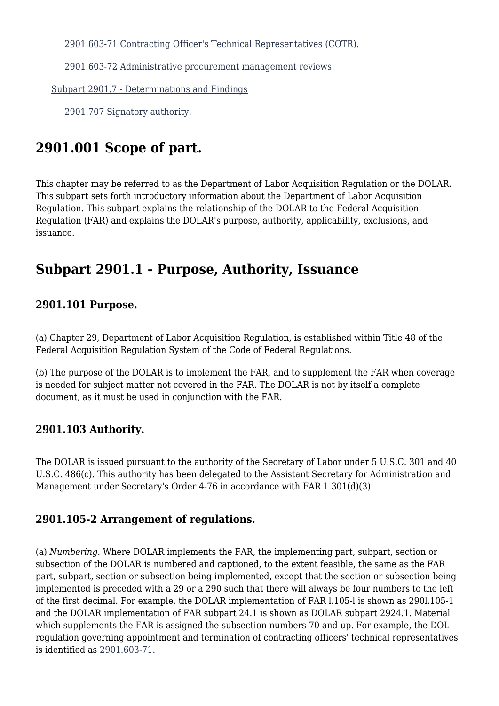[2901.603-71 Contracting Officer's Technical Representatives \(COTR\).](https://www.acquisition.gov/%5Brp:link:dolar-part-2901%5D#Section_2901_603_71_T48_701126110)

[2901.603-72 Administrative procurement management reviews.](https://www.acquisition.gov/%5Brp:link:dolar-part-2901%5D#Section_2901_603_72_T48_701126111)

[Subpart 2901.7 - Determinations and Findings](https://www.acquisition.gov/%5Brp:link:dolar-part-2901%5D#Subpart_2901_7_T48_701127)

[2901.707 Signatory authority.](https://www.acquisition.gov/%5Brp:link:dolar-part-2901%5D#Section_2901_707_T48_70112711)

# **2901.001 Scope of part.**

This chapter may be referred to as the Department of Labor Acquisition Regulation or the DOLAR. This subpart sets forth introductory information about the Department of Labor Acquisition Regulation. This subpart explains the relationship of the DOLAR to the Federal Acquisition Regulation (FAR) and explains the DOLAR's purpose, authority, applicability, exclusions, and issuance.

### **Subpart 2901.1 - Purpose, Authority, Issuance**

#### **2901.101 Purpose.**

(a) Chapter 29, Department of Labor Acquisition Regulation, is established within Title 48 of the Federal Acquisition Regulation System of the Code of Federal Regulations.

(b) The purpose of the DOLAR is to implement the FAR, and to supplement the FAR when coverage is needed for subject matter not covered in the FAR. The DOLAR is not by itself a complete document, as it must be used in conjunction with the FAR.

#### **2901.103 Authority.**

The DOLAR is issued pursuant to the authority of the Secretary of Labor under 5 U.S.C. 301 and 40 U.S.C. 486(c). This authority has been delegated to the Assistant Secretary for Administration and Management under Secretary's Order 4-76 in accordance with FAR 1.301(d)(3).

#### **2901.105-2 Arrangement of regulations.**

(a) *Numbering.* Where DOLAR implements the FAR, the implementing part, subpart, section or subsection of the DOLAR is numbered and captioned, to the extent feasible, the same as the FAR part, subpart, section or subsection being implemented, except that the section or subsection being implemented is preceded with a 29 or a 290 such that there will always be four numbers to the left of the first decimal. For example, the DOLAR implementation of FAR l.105-l is shown as 290l.105-1 and the DOLAR implementation of FAR subpart 24.1 is shown as DOLAR subpart 2924.1. Material which supplements the FAR is assigned the subsection numbers 70 and up. For example, the DOL regulation governing appointment and termination of contracting officers' technical representatives is identified as [2901.603-71](https://www.acquisition.gov/%5Brp:link:dolar-part-2901%5D#Section_2901_603_71_T48_701126110).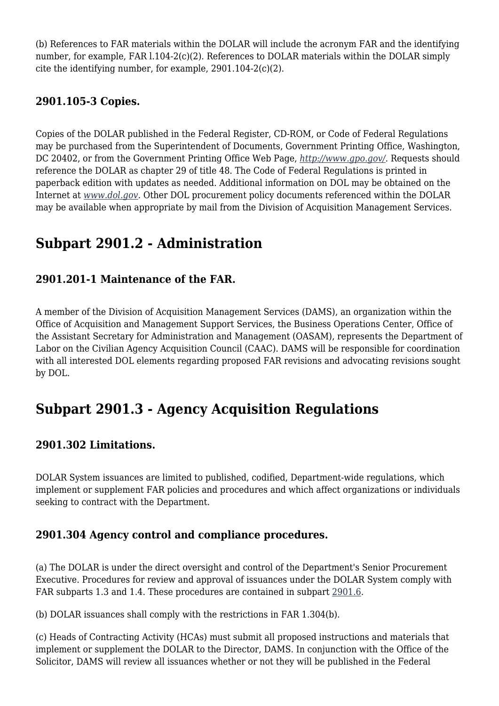(b) References to FAR materials within the DOLAR will include the acronym FAR and the identifying number, for example, FAR 1.104-2(c)(2). References to DOLAR materials within the DOLAR simply cite the identifying number, for example, 2901.104-2(c)(2).

#### **2901.105-3 Copies.**

Copies of the DOLAR published in the Federal Register, CD-ROM, or Code of Federal Regulations may be purchased from the Superintendent of Documents, Government Printing Office, Washington, DC 20402, or from the Government Printing Office Web Page, *[http://www.gpo.gov/.](http://www.gpo.gov/)* Requests should reference the DOLAR as chapter 29 of title 48. The Code of Federal Regulations is printed in paperback edition with updates as needed. Additional information on DOL may be obtained on the Internet at *[www.dol.gov.](http://www.dol.gov)* Other DOL procurement policy documents referenced within the DOLAR may be available when appropriate by mail from the Division of Acquisition Management Services.

## **Subpart 2901.2 - Administration**

#### **2901.201-1 Maintenance of the FAR.**

A member of the Division of Acquisition Management Services (DAMS), an organization within the Office of Acquisition and Management Support Services, the Business Operations Center, Office of the Assistant Secretary for Administration and Management (OASAM), represents the Department of Labor on the Civilian Agency Acquisition Council (CAAC). DAMS will be responsible for coordination with all interested DOL elements regarding proposed FAR revisions and advocating revisions sought by DOL.

# **Subpart 2901.3 - Agency Acquisition Regulations**

#### **2901.302 Limitations.**

DOLAR System issuances are limited to published, codified, Department-wide regulations, which implement or supplement FAR policies and procedures and which affect organizations or individuals seeking to contract with the Department.

#### **2901.304 Agency control and compliance procedures.**

(a) The DOLAR is under the direct oversight and control of the Department's Senior Procurement Executive. Procedures for review and approval of issuances under the DOLAR System comply with FAR subparts 1.3 and 1.4. These procedures are contained in subpart [2901.6.](https://www.acquisition.gov/%5Brp:link:dolar-part-2901%5D#Subpart_2901_6_T48_701126)

(b) DOLAR issuances shall comply with the restrictions in FAR 1.304(b).

(c) Heads of Contracting Activity (HCAs) must submit all proposed instructions and materials that implement or supplement the DOLAR to the Director, DAMS. In conjunction with the Office of the Solicitor, DAMS will review all issuances whether or not they will be published in the Federal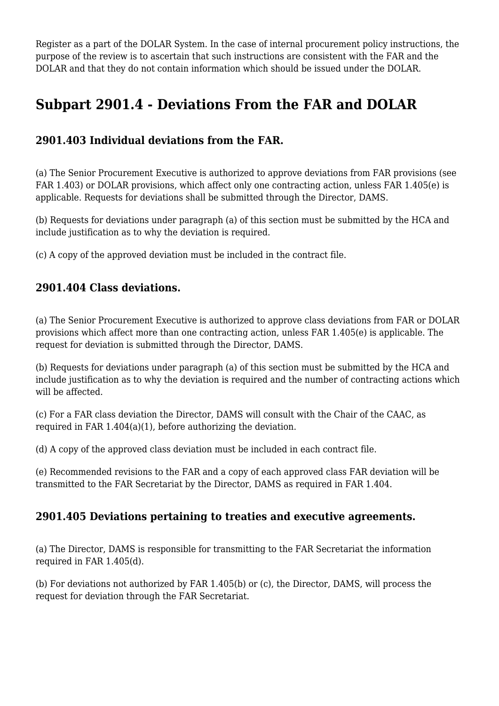Register as a part of the DOLAR System. In the case of internal procurement policy instructions, the purpose of the review is to ascertain that such instructions are consistent with the FAR and the DOLAR and that they do not contain information which should be issued under the DOLAR.

# **Subpart 2901.4 - Deviations From the FAR and DOLAR**

#### **2901.403 Individual deviations from the FAR.**

(a) The Senior Procurement Executive is authorized to approve deviations from FAR provisions (see FAR 1.403) or DOLAR provisions, which affect only one contracting action, unless FAR 1.405(e) is applicable. Requests for deviations shall be submitted through the Director, DAMS.

(b) Requests for deviations under paragraph (a) of this section must be submitted by the HCA and include justification as to why the deviation is required.

(c) A copy of the approved deviation must be included in the contract file.

#### **2901.404 Class deviations.**

(a) The Senior Procurement Executive is authorized to approve class deviations from FAR or DOLAR provisions which affect more than one contracting action, unless FAR 1.405(e) is applicable. The request for deviation is submitted through the Director, DAMS.

(b) Requests for deviations under paragraph (a) of this section must be submitted by the HCA and include justification as to why the deviation is required and the number of contracting actions which will be affected.

(c) For a FAR class deviation the Director, DAMS will consult with the Chair of the CAAC, as required in FAR 1.404(a)(1), before authorizing the deviation.

(d) A copy of the approved class deviation must be included in each contract file.

(e) Recommended revisions to the FAR and a copy of each approved class FAR deviation will be transmitted to the FAR Secretariat by the Director, DAMS as required in FAR 1.404.

#### **2901.405 Deviations pertaining to treaties and executive agreements.**

(a) The Director, DAMS is responsible for transmitting to the FAR Secretariat the information required in FAR 1.405(d).

(b) For deviations not authorized by FAR 1.405(b) or (c), the Director, DAMS, will process the request for deviation through the FAR Secretariat.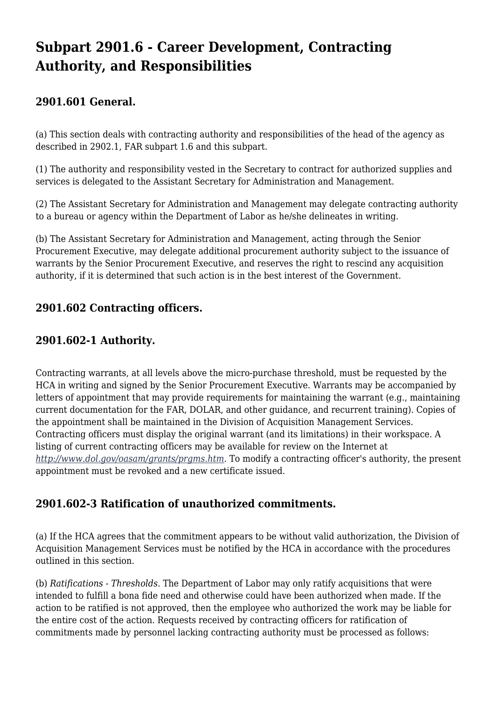# **Subpart 2901.6 - Career Development, Contracting Authority, and Responsibilities**

#### **2901.601 General.**

(a) This section deals with contracting authority and responsibilities of the head of the agency as described in 2902.1, FAR subpart 1.6 and this subpart.

(1) The authority and responsibility vested in the Secretary to contract for authorized supplies and services is delegated to the Assistant Secretary for Administration and Management.

(2) The Assistant Secretary for Administration and Management may delegate contracting authority to a bureau or agency within the Department of Labor as he/she delineates in writing.

(b) The Assistant Secretary for Administration and Management, acting through the Senior Procurement Executive, may delegate additional procurement authority subject to the issuance of warrants by the Senior Procurement Executive, and reserves the right to rescind any acquisition authority, if it is determined that such action is in the best interest of the Government.

#### **2901.602 Contracting officers.**

#### **2901.602-1 Authority.**

Contracting warrants, at all levels above the micro-purchase threshold, must be requested by the HCA in writing and signed by the Senior Procurement Executive. Warrants may be accompanied by letters of appointment that may provide requirements for maintaining the warrant (e.g., maintaining current documentation for the FAR, DOLAR, and other guidance, and recurrent training). Copies of the appointment shall be maintained in the Division of Acquisition Management Services. Contracting officers must display the original warrant (and its limitations) in their workspace. A listing of current contracting officers may be available for review on the Internet at *[http://www.dol.gov/oasam/grants/prgms.htm.](http://www.dol.gov/oasam/grants/prgms.htm)* To modify a contracting officer's authority, the present appointment must be revoked and a new certificate issued.

#### **2901.602-3 Ratification of unauthorized commitments.**

(a) If the HCA agrees that the commitment appears to be without valid authorization, the Division of Acquisition Management Services must be notified by the HCA in accordance with the procedures outlined in this section.

(b) *Ratifications - Thresholds.* The Department of Labor may only ratify acquisitions that were intended to fulfill a bona fide need and otherwise could have been authorized when made. If the action to be ratified is not approved, then the employee who authorized the work may be liable for the entire cost of the action. Requests received by contracting officers for ratification of commitments made by personnel lacking contracting authority must be processed as follows: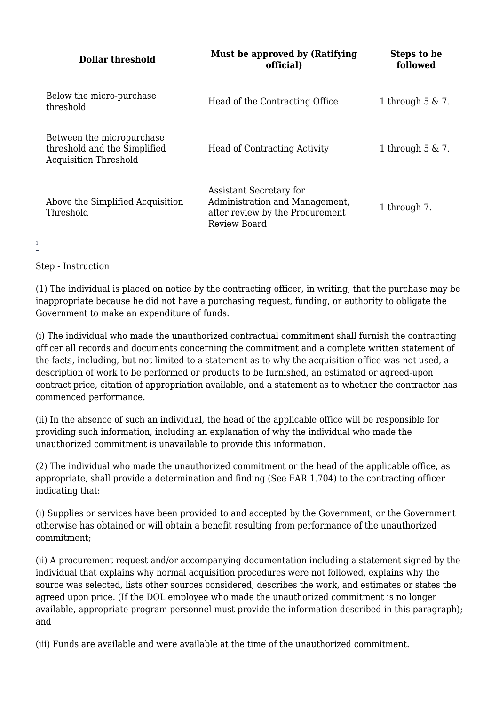| Dollar threshold                                                                          | Must be approved by (Ratifying<br>official)                                                                  | Steps to be<br>followed |
|-------------------------------------------------------------------------------------------|--------------------------------------------------------------------------------------------------------------|-------------------------|
| Below the micro-purchase<br>threshold                                                     | Head of the Contracting Office                                                                               | 1 through $5 \& 7$ .    |
| Between the micropurchase<br>threshold and the Simplified<br><b>Acquisition Threshold</b> | <b>Head of Contracting Activity</b>                                                                          | 1 through $5 \& 7$ .    |
| Above the Simplified Acquisition<br>Threshold                                             | Assistant Secretary for<br>Administration and Management,<br>after review by the Procurement<br>Review Board | 1 through 7.            |

Step - Instruction

<span id="page-5-0"></span>[1](#page-11-0)

(1) The individual is placed on notice by the contracting officer, in writing, that the purchase may be inappropriate because he did not have a purchasing request, funding, or authority to obligate the Government to make an expenditure of funds.

(i) The individual who made the unauthorized contractual commitment shall furnish the contracting officer all records and documents concerning the commitment and a complete written statement of the facts, including, but not limited to a statement as to why the acquisition office was not used, a description of work to be performed or products to be furnished, an estimated or agreed-upon contract price, citation of appropriation available, and a statement as to whether the contractor has commenced performance.

(ii) In the absence of such an individual, the head of the applicable office will be responsible for providing such information, including an explanation of why the individual who made the unauthorized commitment is unavailable to provide this information.

(2) The individual who made the unauthorized commitment or the head of the applicable office, as appropriate, shall provide a determination and finding (See FAR 1.704) to the contracting officer indicating that:

(i) Supplies or services have been provided to and accepted by the Government, or the Government otherwise has obtained or will obtain a benefit resulting from performance of the unauthorized commitment;

(ii) A procurement request and/or accompanying documentation including a statement signed by the individual that explains why normal acquisition procedures were not followed, explains why the source was selected, lists other sources considered, describes the work, and estimates or states the agreed upon price. (If the DOL employee who made the unauthorized commitment is no longer available, appropriate program personnel must provide the information described in this paragraph); and

(iii) Funds are available and were available at the time of the unauthorized commitment.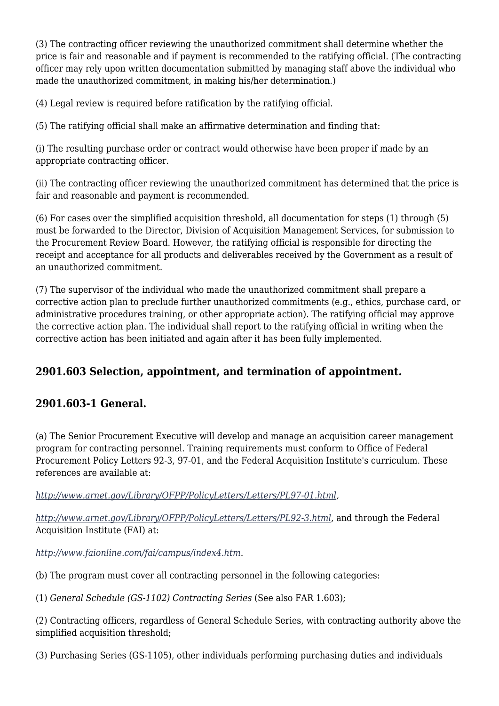(3) The contracting officer reviewing the unauthorized commitment shall determine whether the price is fair and reasonable and if payment is recommended to the ratifying official. (The contracting officer may rely upon written documentation submitted by managing staff above the individual who made the unauthorized commitment, in making his/her determination.)

(4) Legal review is required before ratification by the ratifying official.

(5) The ratifying official shall make an affirmative determination and finding that:

(i) The resulting purchase order or contract would otherwise have been proper if made by an appropriate contracting officer.

(ii) The contracting officer reviewing the unauthorized commitment has determined that the price is fair and reasonable and payment is recommended.

(6) For cases over the simplified acquisition threshold, all documentation for steps (1) through (5) must be forwarded to the Director, Division of Acquisition Management Services, for submission to the Procurement Review Board. However, the ratifying official is responsible for directing the receipt and acceptance for all products and deliverables received by the Government as a result of an unauthorized commitment.

(7) The supervisor of the individual who made the unauthorized commitment shall prepare a corrective action plan to preclude further unauthorized commitments (e.g., ethics, purchase card, or administrative procedures training, or other appropriate action). The ratifying official may approve the corrective action plan. The individual shall report to the ratifying official in writing when the corrective action has been initiated and again after it has been fully implemented.

#### **2901.603 Selection, appointment, and termination of appointment.**

#### **2901.603-1 General.**

(a) The Senior Procurement Executive will develop and manage an acquisition career management program for contracting personnel. Training requirements must conform to Office of Federal Procurement Policy Letters 92-3, 97-01, and the Federal Acquisition Institute's curriculum. These references are available at:

#### *[http://www.arnet.gov/Library/OFPP/PolicyLetters/Letters/PL97-01.html,](http://www.arnet.gov/Library/OFPP/PolicyLetters/Letters/PL97-01.html)*

*<http://www.arnet.gov/Library/OFPP/PolicyLetters/Letters/PL92-3.html>,* and through the Federal Acquisition Institute (FAI) at:

*<http://www.faionline.com/fai/campus/index4.htm>.*

(b) The program must cover all contracting personnel in the following categories:

(1) *General Schedule (GS-1102) Contracting Series* (See also FAR 1.603);

(2) Contracting officers, regardless of General Schedule Series, with contracting authority above the simplified acquisition threshold;

(3) Purchasing Series (GS-1105), other individuals performing purchasing duties and individuals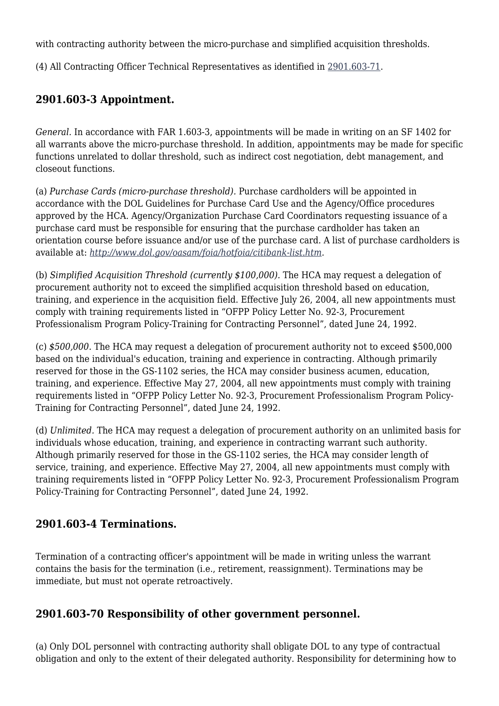with contracting authority between the micro-purchase and simplified acquisition thresholds.

(4) All Contracting Officer Technical Representatives as identified in [2901.603-71](https://www.acquisition.gov/%5Brp:link:dolar-part-2901%5D#Section_2901_603_71_T48_701126110).

#### **2901.603-3 Appointment.**

*General.* In accordance with FAR 1.603-3, appointments will be made in writing on an SF 1402 for all warrants above the micro-purchase threshold. In addition, appointments may be made for specific functions unrelated to dollar threshold, such as indirect cost negotiation, debt management, and closeout functions.

(a) *Purchase Cards (micro-purchase threshold).* Purchase cardholders will be appointed in accordance with the DOL Guidelines for Purchase Card Use and the Agency/Office procedures approved by the HCA. Agency/Organization Purchase Card Coordinators requesting issuance of a purchase card must be responsible for ensuring that the purchase cardholder has taken an orientation course before issuance and/or use of the purchase card. A list of purchase cardholders is available at: *[http://www.dol.gov/oasam/foia/hotfoia/citibank-list.htm.](http://www.dol.gov/oasam/foia/hotfoia/citibank-list.htm)*

(b) *Simplified Acquisition Threshold (currently \$100,000).* The HCA may request a delegation of procurement authority not to exceed the simplified acquisition threshold based on education, training, and experience in the acquisition field. Effective July 26, 2004, all new appointments must comply with training requirements listed in "OFPP Policy Letter No. 92-3, Procurement Professionalism Program Policy-Training for Contracting Personnel", dated June 24, 1992.

(c) *\$500,000.* The HCA may request a delegation of procurement authority not to exceed \$500,000 based on the individual's education, training and experience in contracting. Although primarily reserved for those in the GS-1102 series, the HCA may consider business acumen, education, training, and experience. Effective May 27, 2004, all new appointments must comply with training requirements listed in "OFPP Policy Letter No. 92-3, Procurement Professionalism Program Policy-Training for Contracting Personnel", dated June 24, 1992.

(d) *Unlimited.* The HCA may request a delegation of procurement authority on an unlimited basis for individuals whose education, training, and experience in contracting warrant such authority. Although primarily reserved for those in the GS-1102 series, the HCA may consider length of service, training, and experience. Effective May 27, 2004, all new appointments must comply with training requirements listed in "OFPP Policy Letter No. 92-3, Procurement Professionalism Program Policy-Training for Contracting Personnel", dated June 24, 1992.

#### **2901.603-4 Terminations.**

Termination of a contracting officer's appointment will be made in writing unless the warrant contains the basis for the termination (i.e., retirement, reassignment). Terminations may be immediate, but must not operate retroactively.

#### **2901.603-70 Responsibility of other government personnel.**

(a) Only DOL personnel with contracting authority shall obligate DOL to any type of contractual obligation and only to the extent of their delegated authority. Responsibility for determining how to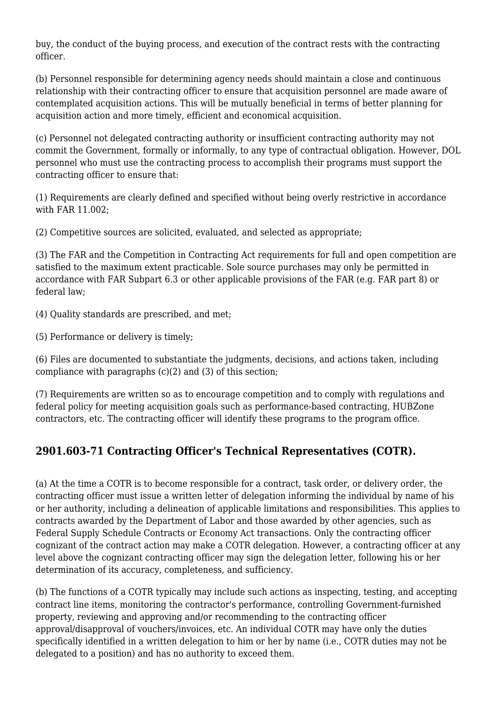buy, the conduct of the buying process, and execution of the contract rests with the contracting officer.

(b) Personnel responsible for determining agency needs should maintain a close and continuous relationship with their contracting officer to ensure that acquisition personnel are made aware of contemplated acquisition actions. This will be mutually beneficial in terms of better planning for acquisition action and more timely, efficient and economical acquisition.

(c) Personnel not delegated contracting authority or insufficient contracting authority may not commit the Government, formally or informally, to any type of contractual obligation. However, DOL personnel who must use the contracting process to accomplish their programs must support the contracting officer to ensure that:

(1) Requirements are clearly defined and specified without being overly restrictive in accordance with FAR 11.002;

(2) Competitive sources are solicited, evaluated, and selected as appropriate;

(3) The FAR and the Competition in Contracting Act requirements for full and open competition are satisfied to the maximum extent practicable. Sole source purchases may only be permitted in accordance with FAR Subpart 6.3 or other applicable provisions of the FAR (e.g. FAR part 8) or federal law;

(4) Quality standards are prescribed, and met;

(5) Performance or delivery is timely;

(6) Files are documented to substantiate the judgments, decisions, and actions taken, including compliance with paragraphs (c)(2) and (3) of this section;

(7) Requirements are written so as to encourage competition and to comply with regulations and federal policy for meeting acquisition goals such as performance-based contracting, HUBZone contractors, etc. The contracting officer will identify these programs to the program office.

#### **2901.603-71 Contracting Officer's Technical Representatives (COTR).**

(a) At the time a COTR is to become responsible for a contract, task order, or delivery order, the contracting officer must issue a written letter of delegation informing the individual by name of his or her authority, including a delineation of applicable limitations and responsibilities. This applies to contracts awarded by the Department of Labor and those awarded by other agencies, such as Federal Supply Schedule Contracts or Economy Act transactions. Only the contracting officer cognizant of the contract action may make a COTR delegation. However, a contracting officer at any level above the cognizant contracting officer may sign the delegation letter, following his or her determination of its accuracy, completeness, and sufficiency.

(b) The functions of a COTR typically may include such actions as inspecting, testing, and accepting contract line items, monitoring the contractor's performance, controlling Government-furnished property, reviewing and approving and/or recommending to the contracting officer approval/disapproval of vouchers/invoices, etc. An individual COTR may have only the duties specifically identified in a written delegation to him or her by name (i.e., COTR duties may not be delegated to a position) and has no authority to exceed them.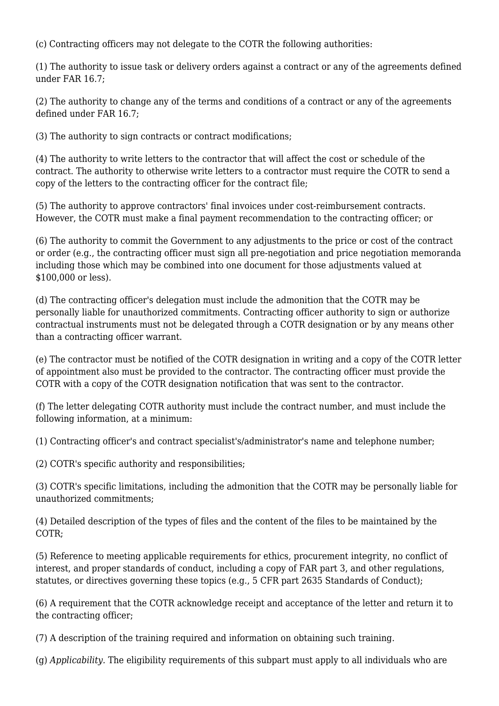(c) Contracting officers may not delegate to the COTR the following authorities:

(1) The authority to issue task or delivery orders against a contract or any of the agreements defined under FAR 16.7;

(2) The authority to change any of the terms and conditions of a contract or any of the agreements defined under FAR 16.7;

(3) The authority to sign contracts or contract modifications;

(4) The authority to write letters to the contractor that will affect the cost or schedule of the contract. The authority to otherwise write letters to a contractor must require the COTR to send a copy of the letters to the contracting officer for the contract file;

(5) The authority to approve contractors' final invoices under cost-reimbursement contracts. However, the COTR must make a final payment recommendation to the contracting officer; or

(6) The authority to commit the Government to any adjustments to the price or cost of the contract or order (e.g., the contracting officer must sign all pre-negotiation and price negotiation memoranda including those which may be combined into one document for those adjustments valued at \$100,000 or less).

(d) The contracting officer's delegation must include the admonition that the COTR may be personally liable for unauthorized commitments. Contracting officer authority to sign or authorize contractual instruments must not be delegated through a COTR designation or by any means other than a contracting officer warrant.

(e) The contractor must be notified of the COTR designation in writing and a copy of the COTR letter of appointment also must be provided to the contractor. The contracting officer must provide the COTR with a copy of the COTR designation notification that was sent to the contractor.

(f) The letter delegating COTR authority must include the contract number, and must include the following information, at a minimum:

(1) Contracting officer's and contract specialist's/administrator's name and telephone number;

(2) COTR's specific authority and responsibilities;

(3) COTR's specific limitations, including the admonition that the COTR may be personally liable for unauthorized commitments;

(4) Detailed description of the types of files and the content of the files to be maintained by the COTR;

(5) Reference to meeting applicable requirements for ethics, procurement integrity, no conflict of interest, and proper standards of conduct, including a copy of FAR part 3, and other regulations, statutes, or directives governing these topics (e.g., 5 CFR part 2635 Standards of Conduct);

(6) A requirement that the COTR acknowledge receipt and acceptance of the letter and return it to the contracting officer;

(7) A description of the training required and information on obtaining such training.

(g) *Applicability.* The eligibility requirements of this subpart must apply to all individuals who are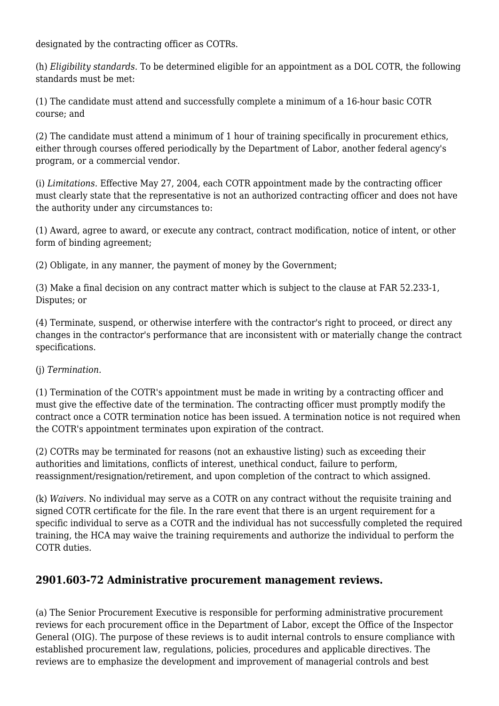designated by the contracting officer as COTRs.

(h) *Eligibility standards.* To be determined eligible for an appointment as a DOL COTR, the following standards must be met:

(1) The candidate must attend and successfully complete a minimum of a 16-hour basic COTR course; and

(2) The candidate must attend a minimum of 1 hour of training specifically in procurement ethics, either through courses offered periodically by the Department of Labor, another federal agency's program, or a commercial vendor.

(i) *Limitations.* Effective May 27, 2004, each COTR appointment made by the contracting officer must clearly state that the representative is not an authorized contracting officer and does not have the authority under any circumstances to:

(1) Award, agree to award, or execute any contract, contract modification, notice of intent, or other form of binding agreement;

(2) Obligate, in any manner, the payment of money by the Government;

(3) Make a final decision on any contract matter which is subject to the clause at FAR 52.233-1, Disputes; or

(4) Terminate, suspend, or otherwise interfere with the contractor's right to proceed, or direct any changes in the contractor's performance that are inconsistent with or materially change the contract specifications.

#### (j) *Termination.*

(1) Termination of the COTR's appointment must be made in writing by a contracting officer and must give the effective date of the termination. The contracting officer must promptly modify the contract once a COTR termination notice has been issued. A termination notice is not required when the COTR's appointment terminates upon expiration of the contract.

(2) COTRs may be terminated for reasons (not an exhaustive listing) such as exceeding their authorities and limitations, conflicts of interest, unethical conduct, failure to perform, reassignment/resignation/retirement, and upon completion of the contract to which assigned.

(k) *Waivers.* No individual may serve as a COTR on any contract without the requisite training and signed COTR certificate for the file. In the rare event that there is an urgent requirement for a specific individual to serve as a COTR and the individual has not successfully completed the required training, the HCA may waive the training requirements and authorize the individual to perform the COTR duties.

#### **2901.603-72 Administrative procurement management reviews.**

(a) The Senior Procurement Executive is responsible for performing administrative procurement reviews for each procurement office in the Department of Labor, except the Office of the Inspector General (OIG). The purpose of these reviews is to audit internal controls to ensure compliance with established procurement law, regulations, policies, procedures and applicable directives. The reviews are to emphasize the development and improvement of managerial controls and best